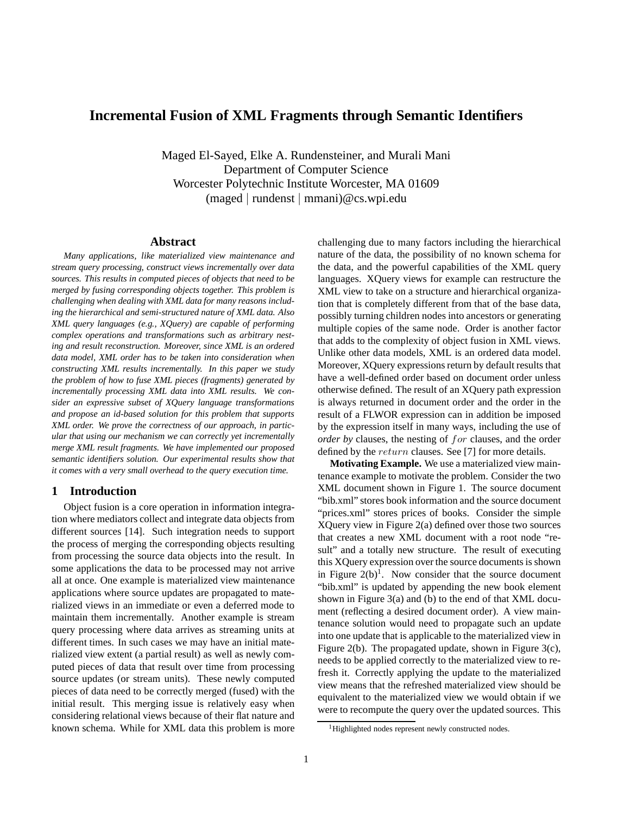# **Incremental Fusion of XML Fragments through Semantic Identifiers**

Maged El-Sayed, Elke A. Rundensteiner, and Murali Mani Department of Computer Science Worcester Polytechnic Institute Worcester, MA 01609 (maged | rundenst | mmani)@cs.wpi.edu

#### **Abstract**

*Many applications, like materialized view maintenance and stream query processing, construct views incrementally over data sources. This results in computed pieces of objects that need to be merged by fusing corresponding objects together. This problem is challenging when dealing with XML data for many reasons including the hierarchical and semi-structured nature of XML data. Also XML query languages (e.g., XQuery) are capable of performing complex operations and transformations such as arbitrary nesting and result reconstruction. Moreover, since XML is an ordered data model, XML order has to be taken into consideration when constructing XML results incrementally. In this paper we study the problem of how to fuse XML pieces (fragments) generated by incrementally processing XML data into XML results. We consider an expressive subset of XQuery language transformations and propose an id-based solution for this problem that supports XML order. We prove the correctness of our approach, in particular that using our mechanism we can correctly yet incrementally merge XML result fragments. We have implemented our proposed semantic identifiers solution. Our experimental results show that it comes with a very small overhead to the query execution time.*

### **1 Introduction**

Object fusion is a core operation in information integration where mediators collect and integrate data objects from different sources [14]. Such integration needs to support the process of merging the corresponding objects resulting from processing the source data objects into the result. In some applications the data to be processed may not arrive all at once. One example is materialized view maintenance applications where source updates are propagated to materialized views in an immediate or even a deferred mode to maintain them incrementally. Another example is stream query processing where data arrives as streaming units at different times. In such cases we may have an initial materialized view extent (a partial result) as well as newly computed pieces of data that result over time from processing source updates (or stream units). These newly computed pieces of data need to be correctly merged (fused) with the initial result. This merging issue is relatively easy when considering relational views because of their flat nature and known schema. While for XML data this problem is more

challenging due to many factors including the hierarchical nature of the data, the possibility of no known schema for the data, and the powerful capabilities of the XML query languages. XQuery views for example can restructure the XML view to take on a structure and hierarchical organization that is completely different from that of the base data, possibly turning children nodes into ancestors or generating multiple copies of the same node. Order is another factor that adds to the complexity of object fusion in XML views. Unlike other data models, XML is an ordered data model. Moreover, XQuery expressions return by default results that have a well-defined order based on document order unless otherwise defined. The result of an XQuery path expression is always returned in document order and the order in the result of a FLWOR expression can in addition be imposed by the expression itself in many ways, including the use of *order by* clauses, the nesting of for clauses, and the order defined by the return clauses. See [7] for more details.

**Motivating Example.** We use a materialized view maintenance example to motivate the problem. Consider the two XML document shown in Figure 1. The source document "bib.xml" stores book information and the source document "prices.xml" stores prices of books. Consider the simple XQuery view in Figure 2(a) defined over those two sources that creates a new XML document with a root node "result" and a totally new structure. The result of executing this XQuery expression over the source documents is shown in Figure  $2(b)^1$ . Now consider that the source document "bib.xml" is updated by appending the new book element shown in Figure 3(a) and (b) to the end of that XML document (reflecting a desired document order). A view maintenance solution would need to propagate such an update into one update that is applicable to the materialized view in Figure 2(b). The propagated update, shown in Figure 3(c), needs to be applied correctly to the materialized view to refresh it. Correctly applying the update to the materialized view means that the refreshed materialized view should be equivalent to the materialized view we would obtain if we were to recompute the query over the updated sources. This

<sup>&</sup>lt;sup>1</sup>Highlighted nodes represent newly constructed nodes.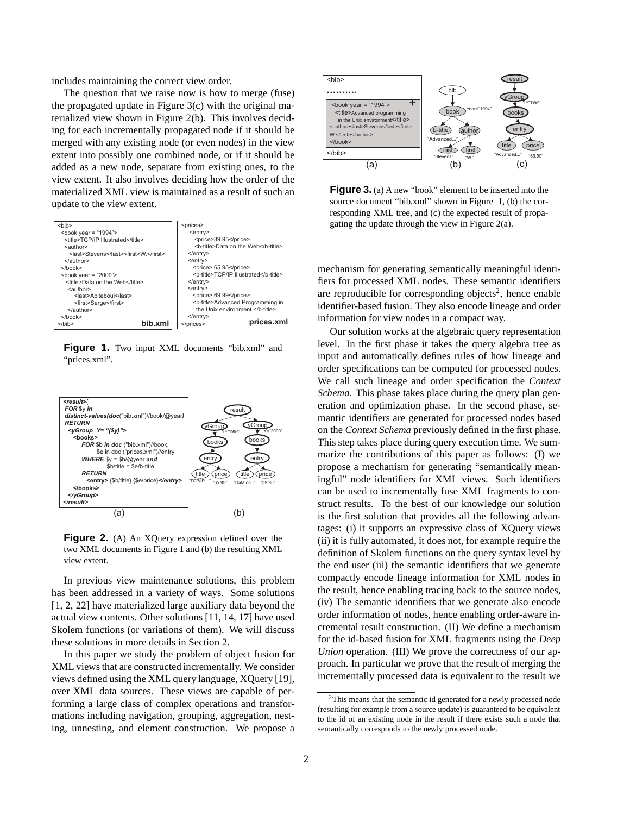includes maintaining the correct view order.

The question that we raise now is how to merge (fuse) the propagated update in Figure 3(c) with the original materialized view shown in Figure 2(b). This involves deciding for each incrementally propagated node if it should be merged with any existing node (or even nodes) in the view extent into possibly one combined node, or if it should be added as a new node, separate from existing ones, to the view extent. It also involves deciding how the order of the materialized XML view is maintained as a result of such an update to the view extent.



**Figure 1.** Two input XML documents "bib.xml" and "prices.xml".



**Figure 2.** (A) An XOuery expression defined over the two XML documents in Figure 1 and (b) the resulting XML view extent.

In previous view maintenance solutions, this problem has been addressed in a variety of ways. Some solutions [1, 2, 22] have materialized large auxiliary data beyond the actual view contents. Other solutions [11, 14, 17] have used Skolem functions (or variations of them). We will discuss these solutions in more details in Section 2.

In this paper we study the problem of object fusion for XML views that are constructed incrementally. We consider views defined using the XML query language, XQuery [19], over XML data sources. These views are capable of performing a large class of complex operations and transformations including navigation, grouping, aggregation, nesting, unnesting, and element construction. We propose a



**Figure 3.** (a) A new "book" element to be inserted into the source document "bib.xml" shown in Figure 1, (b) the corresponding XML tree, and (c) the expected result of propagating the update through the view in Figure 2(a).

mechanism for generating semantically meaningful identifiers for processed XML nodes. These semantic identifiers are reproducible for corresponding objects<sup>2</sup>, hence enable identifier-based fusion. They also encode lineage and order information for view nodes in a compact way.

Our solution works at the algebraic query representation level. In the first phase it takes the query algebra tree as input and automatically defines rules of how lineage and order specifications can be computed for processed nodes. We call such lineage and order specification the *Context Schema*. This phase takes place during the query plan generation and optimization phase. In the second phase, semantic identifiers are generated for processed nodes based on the *Context Schema* previously defined in the first phase. This step takes place during query execution time. We summarize the contributions of this paper as follows: (I) we propose a mechanism for generating "semantically meaningful" node identifiers for XML views. Such identifiers can be used to incrementally fuse XML fragments to construct results. To the best of our knowledge our solution is the first solution that provides all the following advantages: (i) it supports an expressive class of XQuery views (ii) it is fully automated, it does not, for example require the definition of Skolem functions on the query syntax level by the end user (iii) the semantic identifiers that we generate compactly encode lineage information for XML nodes in the result, hence enabling tracing back to the source nodes, (iv) The semantic identifiers that we generate also encode order information of nodes, hence enabling order-aware incremental result construction. (II) We define a mechanism for the id-based fusion for XML fragments using the *Deep Union* operation. (III) We prove the correctness of our approach. In particular we prove that the result of merging the incrementally processed data is equivalent to the result we

<sup>2</sup>This means that the semantic id generated for a newly processed node (resulting for example from a source update) is guaranteed to be equivalent to the id of an existing node in the result if there exists such a node that semantically corresponds to the newly processed node.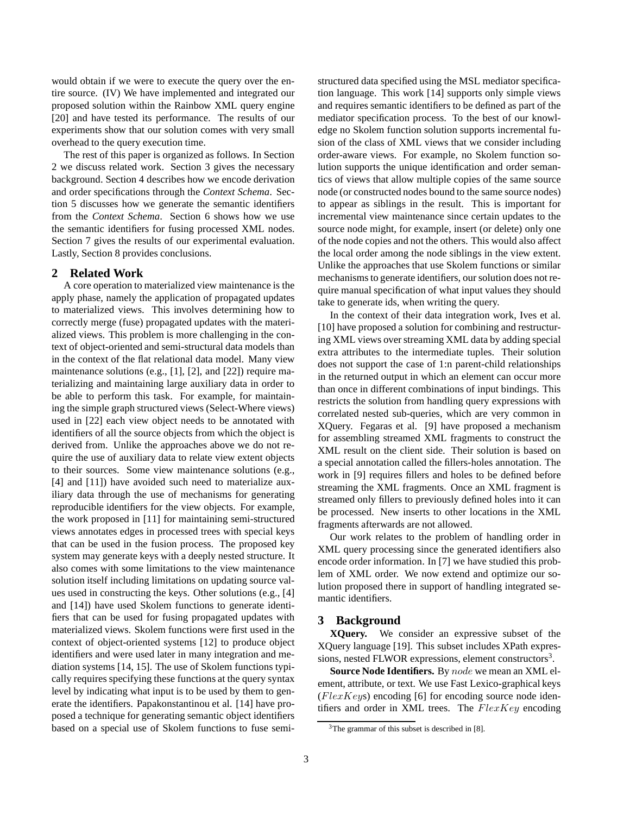would obtain if we were to execute the query over the entire source. (IV) We have implemented and integrated our proposed solution within the Rainbow XML query engine [20] and have tested its performance. The results of our experiments show that our solution comes with very small overhead to the query execution time.

The rest of this paper is organized as follows. In Section 2 we discuss related work. Section 3 gives the necessary background. Section 4 describes how we encode derivation and order specifications through the *Context Schema*. Section 5 discusses how we generate the semantic identifiers from the *Context Schema*. Section 6 shows how we use the semantic identifiers for fusing processed XML nodes. Section 7 gives the results of our experimental evaluation. Lastly, Section 8 provides conclusions.

### **2 Related Work**

A core operation to materialized view maintenance is the apply phase, namely the application of propagated updates to materialized views. This involves determining how to correctly merge (fuse) propagated updates with the materialized views. This problem is more challenging in the context of object-oriented and semi-structural data models than in the context of the flat relational data model. Many view maintenance solutions (e.g., [1], [2], and [22]) require materializing and maintaining large auxiliary data in order to be able to perform this task. For example, for maintaining the simple graph structured views (Select-Where views) used in [22] each view object needs to be annotated with identifiers of all the source objects from which the object is derived from. Unlike the approaches above we do not require the use of auxiliary data to relate view extent objects to their sources. Some view maintenance solutions (e.g., [4] and [11]) have avoided such need to materialize auxiliary data through the use of mechanisms for generating reproducible identifiers for the view objects. For example, the work proposed in [11] for maintaining semi-structured views annotates edges in processed trees with special keys that can be used in the fusion process. The proposed key system may generate keys with a deeply nested structure. It also comes with some limitations to the view maintenance solution itself including limitations on updating source values used in constructing the keys. Other solutions (e.g., [4] and [14]) have used Skolem functions to generate identifiers that can be used for fusing propagated updates with materialized views. Skolem functions were first used in the context of object-oriented systems [12] to produce object identifiers and were used later in many integration and mediation systems [14, 15]. The use of Skolem functions typically requires specifying these functions at the query syntax level by indicating what input is to be used by them to generate the identifiers. Papakonstantinou et al. [14] have proposed a technique for generating semantic object identifiers based on a special use of Skolem functions to fuse semistructured data specified using the MSL mediator specification language. This work [14] supports only simple views and requires semantic identifiers to be defined as part of the mediator specification process. To the best of our knowledge no Skolem function solution supports incremental fusion of the class of XML views that we consider including order-aware views. For example, no Skolem function solution supports the unique identification and order semantics of views that allow multiple copies of the same source node (or constructed nodes bound to the same source nodes) to appear as siblings in the result. This is important for incremental view maintenance since certain updates to the source node might, for example, insert (or delete) only one of the node copies and not the others. This would also affect the local order among the node siblings in the view extent. Unlike the approaches that use Skolem functions or similar mechanisms to generate identifiers, our solution does not require manual specification of what input values they should take to generate ids, when writing the query.

In the context of their data integration work, Ives et al. [10] have proposed a solution for combining and restructuring XML views over streaming XML data by adding special extra attributes to the intermediate tuples. Their solution does not support the case of 1:n parent-child relationships in the returned output in which an element can occur more than once in different combinations of input bindings. This restricts the solution from handling query expressions with correlated nested sub-queries, which are very common in XQuery. Fegaras et al. [9] have proposed a mechanism for assembling streamed XML fragments to construct the XML result on the client side. Their solution is based on a special annotation called the fillers-holes annotation. The work in [9] requires fillers and holes to be defined before streaming the XML fragments. Once an XML fragment is streamed only fillers to previously defined holes into it can be processed. New inserts to other locations in the XML fragments afterwards are not allowed.

Our work relates to the problem of handling order in XML query processing since the generated identifiers also encode order information. In [7] we have studied this problem of XML order. We now extend and optimize our solution proposed there in support of handling integrated semantic identifiers.

### **3 Background**

**XQuery.** We consider an expressive subset of the XQuery language [19]. This subset includes XPath expressions, nested FLWOR expressions, element constructors<sup>3</sup>.

**Source Node Identifiers.** By node we mean an XML element, attribute, or text. We use Fast Lexico-graphical keys  $(FlexKeys)$  encoding [6] for encoding source node identifiers and order in XML trees. The  $FlexKey$  encoding

<sup>&</sup>lt;sup>3</sup>The grammar of this subset is described in [8].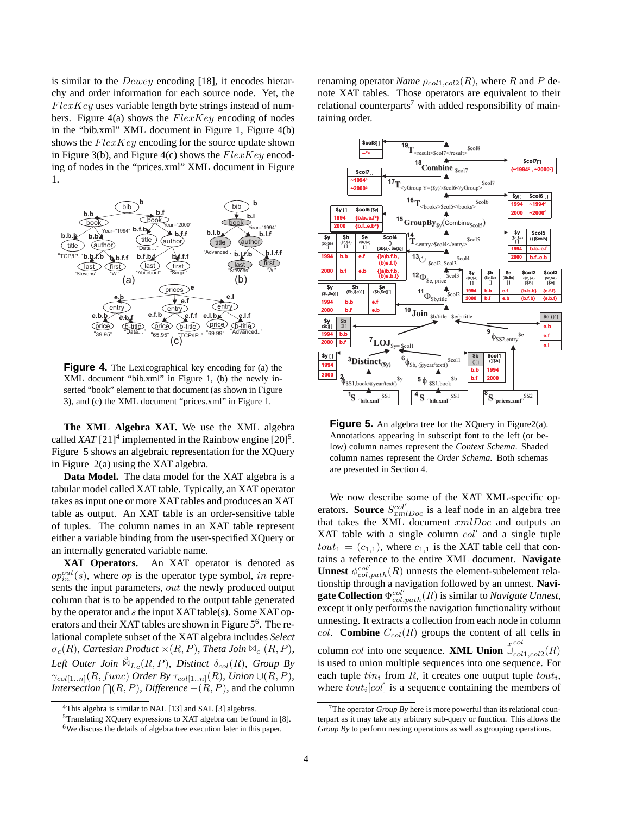is similar to the *Dewey* encoding [18], it encodes hierarchy and order information for each source node. Yet, the  $FlexKey$  uses variable length byte strings instead of numbers. Figure 4(a) shows the  $FlexKey$  encoding of nodes in the "bib.xml" XML document in Figure 1, Figure 4(b) shows the  $FlexKey$  encoding for the source update shown in Figure 3(b), and Figure 4(c) shows the  $FlexKey$  encoding of nodes in the "prices.xml" XML document in Figure 1.



**Figure 4.** The Lexicographical key encoding for (a) the XML document "bib.xml" in Figure 1, (b) the newly inserted "book" element to that document (as shown in Figure 3), and (c) the XML document "prices.xml" in Figure 1.

**The XML Algebra XAT.** We use the XML algebra called *XAT*  $[21]^4$  implemented in the Rainbow engine  $[20]^5$ . Figure 5 shows an algebraic representation for the XQuery in Figure 2(a) using the XAT algebra.

**Data Model.** The data model for the XAT algebra is a tabular model called XAT table. Typically, an XAT operator takes as input one or more XAT tables and produces an XAT table as output. An XAT table is an order-sensitive table of tuples. The column names in an XAT table represent either a variable binding from the user-specified XQuery or an internally generated variable name.

**XAT Operators.** An XAT operator is denoted as  $op_{in}^{out}(s)$ , where  $op$  is the operator type symbol, in represents the input parameters, out the newly produced output column that is to be appended to the output table generated by the operator and s the input XAT table(s). Some XAT operators and their XAT tables are shown in Figure 5<sup>6</sup>. The relational complete subset of the XAT algebra includes *Select*  $\sigma_c(R)$ , *Cartesian Product*  $\times (R, P)$ , *Theta Join*  $\mathbb{N}_c (R, P)$ , Left Outer Join  $\mathbb{R}_{L_c}(R, P)$ , *Distinct*  $\delta_{col}(R)$ , *Group By*  $\gamma_{\text{col}[1..n]}(R, \text{func}) \text{ Order } B$ *y*  $\tau_{\text{col}[1..n]}(R), \text{ Union } \cup (R, P),$ *Intersection*  $\bigcap (R, P)$ *, Difference*  $-(R, P)$ *,* and the column

renaming operator *Name*  $\rho_{coll,col2}(R)$ , where R and P denote XAT tables. Those operators are equivalent to their relational counterparts<sup>7</sup> with added responsibility of maintaining order.



**Figure 5.** An algebra tree for the XQuery in Figure2(a). Annotations appearing in subscript font to the left (or below) column names represent the *Context Schema*. Shaded column names represent the *Order Schema*. Both schemas are presented in Section 4.

We now describe some of the XAT XML-specific operators. **Source**  $S_{xmlDoc}^{col'}$  is a leaf node in an algebra tree that takes the XML document xmlDoc and outputs an XAT table with a single column  $col'$  and a single tuple  $tout_1 = (c_{1,1})$ , where  $c_{1,1}$  is the XAT table cell that contains a reference to the entire XML document. **Navigate Unnest**  $\phi_{col, path}^{col'}(R)$  unnests the element-subelement relationship through a navigation followed by an unnest. **Navigate Collection**  $\Phi_{col,path}^{col'}(R)$  is similar to *Navigate Unnest*, except it only performs the navigation functionality without unnesting. It extracts a collection from each node in column col. **Combine**  $C_{col}(R)$  groups the content of all cells in  $\text{column } col$  into one sequence. **XML Union**  $\bigcup_{col}^{x col}$  $_{col1,col2}(R)$ is used to union multiple sequences into one sequence. For each tuple  $tin_i$  from  $R$ , it creates one output tuple  $tout_i$ , where  $tout_i[col]$  is a sequence containing the members of

<sup>&</sup>lt;sup>4</sup>This algebra is similar to NAL [13] and SAL [3] algebras.

<sup>&</sup>lt;sup>5</sup>Translating XQuery expressions to XAT algebra can be found in [8].

<sup>6</sup>We discuss the details of algebra tree execution later in this paper.

<sup>7</sup>The operator *Group By* here is more powerful than its relational counterpart as it may take any arbitrary sub-query or function. This allows the *Group By* to perform nesting operations as well as grouping operations.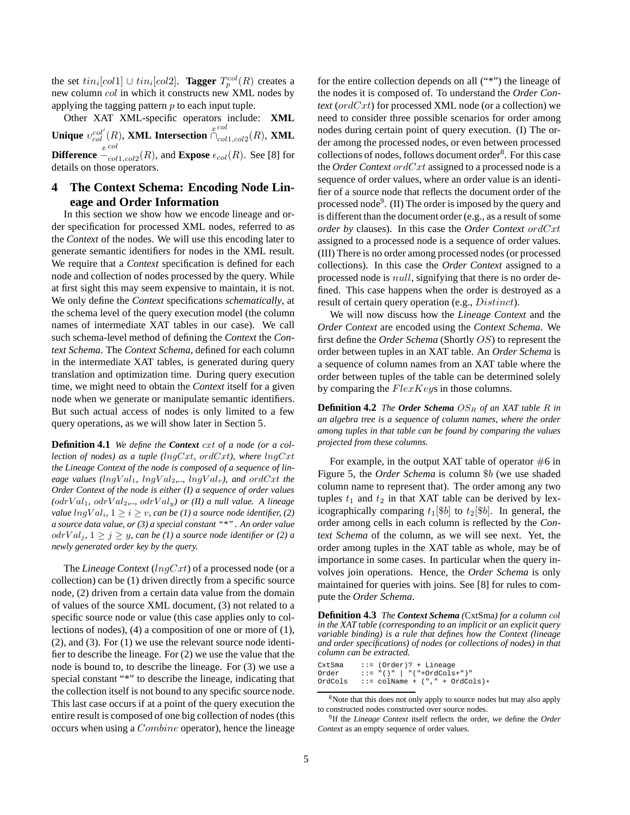the set  $tin_i[col1] \cup tin_i[col2]$ . **Tagger**  $T_p^{col}(R)$  creates a new column col in which it constructs new XML nodes by applying the tagging pattern  $p$  to each input tuple.

Other XAT XML-specific operators include: **XML Unique**  $v^{col'}_{col}(R)$ , **XML Intersection**  $\overset{xcol}{\cap}_{col}$  $_{coll,col2}(R)$ ,  $\bf{XML}$ Difference − <u>col</u>  $_{col1,col2}(R)$ , and **Expose**  $\epsilon_{col}(R)$ . See [8] for details on those operators.

## **4 The Context Schema: Encoding Node Lineage and Order Information**

In this section we show how we encode lineage and order specification for processed XML nodes, referred to as the *Context* of the nodes. We will use this encoding later to generate semantic identifiers for nodes in the XML result. We require that a *Context* specification is defined for each node and collection of nodes processed by the query. While at first sight this may seem expensive to maintain, it is not. We only define the *Context* specifications *schematically*, at the schema level of the query execution model (the column names of intermediate XAT tables in our case). We call such schema-level method of defining the *Context* the *Context Schema*. The *Context Schema*, defined for each column in the intermediate XAT tables, is generated during query translation and optimization time. During query execution time, we might need to obtain the *Context* itself for a given node when we generate or manipulate semantic identifiers. But such actual access of nodes is only limited to a few query operations, as we will show later in Section 5.

**Definition 4.1** *We define the Context* cxt *of a node (or a collection of nodes) as a tuple (*lngCxt*,* ordCxt*), where* lngCxt *the Lineage Context of the node is composed of a sequence of lin* $e$ *age values (lngVal<sub>1</sub>, lngVal<sub>2</sub>,.., lngVal<sub>v</sub>), and ordCxt the Order Context of the node is either (I) a sequence of order values*  $(odrVal_1, odrVal_2, \ldots, odrVal_y)$  or *(II)* a null value. A lineage *value*  $ln qVal_i$ ,  $1 \geq i \geq v$ , can be (1) a source node identifier, (2) *a source data value, or (3) a special constant "\*" . An order value*  $odrVal<sub>i</sub>, 1 \ge j \ge y$ , can be (1) a source node identifier or (2) a *newly generated order key by the query.*

The *Lineage Context* (lngCxt) of a processed node (or a collection) can be (1) driven directly from a specific source node, (2) driven from a certain data value from the domain of values of the source XML document, (3) not related to a specific source node or value (this case applies only to collections of nodes), (4) a composition of one or more of (1), (2), and (3). For (1) we use the relevant source node identifier to describe the lineage. For (2) we use the value that the node is bound to, to describe the lineage. For (3) we use a special constant "\*" to describe the lineage, indicating that the collection itself is not bound to any specific source node. This last case occurs if at a point of the query execution the entire result is composed of one big collection of nodes (this occurs when using a Combine operator), hence the lineage for the entire collection depends on all ("\*") the lineage of the nodes it is composed of. To understand the *Order Context* (ordCxt) for processed XML node (or a collection) we need to consider three possible scenarios for order among nodes during certain point of query execution. (I) The order among the processed nodes, or even between processed collections of nodes, follows document order<sup>8</sup>. For this case the *Order Context* ordCxt assigned to a processed node is a sequence of order values, where an order value is an identifier of a source node that reflects the document order of the processed node<sup>9</sup>. (II) The order is imposed by the query and is different than the document order (e.g., as a result of some *order by* clauses). In this case the *Order Context* ordCxt assigned to a processed node is a sequence of order values. (III) There is no order among processed nodes (or processed collections). In this case the *Order Context* assigned to a processed node is null, signifying that there is no order defined. This case happens when the order is destroyed as a result of certain query operation (e.g.,  $Distinct$ ).

We will now discuss how the *Lineage Context* and the *Order Context* are encoded using the *Context Schema*. We first define the *Order Schema* (Shortly OS) to represent the order between tuples in an XAT table. An *Order Schema* is a sequence of column names from an XAT table where the order between tuples of the table can be determined solely by comparing the  $FlexKeys$  in those columns.

**Definition 4.2** *The Order Schema* OS<sup>R</sup> *of an XAT table* R *in an algebra tree is a sequence of column names, where the order among tuples in that table can be found by comparing the values projected from these columns.*

For example, in the output XAT table of operator  $\#6$  in Figure 5, the *Order Schema* is column \$b (we use shaded column name to represent that). The order among any two tuples  $t_1$  and  $t_2$  in that XAT table can be derived by lexicographically comparing  $t_1[\$b]$  to  $t_2[\$b]$ . In general, the order among cells in each column is reflected by the *Context Schema* of the column, as we will see next. Yet, the order among tuples in the XAT table as whole, may be of importance in some cases. In particular when the query involves join operations. Hence, the *Order Schema* is only maintained for queries with joins. See [8] for rules to compute the *Order Schema*.

**Definition 4.3** *The Context Schema (*CxtSma*) for a column* col *in the XAT table (corresponding to an implicit or an explicit query variable binding) is a rule that defines how the Context (lineage and order specifications) of nodes (or collections of nodes) in that column can be extracted.*

 $\begin{tabular}{lll} \texttt{CxtSma} & ::=& (\texttt{Order})? + \texttt{Lineage} \\ \texttt{Order} & ::=& "\texttt{()}" & "\texttt{('+OrdCols)} \end{tabular}$ Order  $::= "()" | "("+OrdCoIs+")"$ <br>OrdCols  $::= colName + ("," " + OrdCo"$  $::=$  colName + ("," + OrdCols)\*

<sup>&</sup>lt;sup>8</sup>Note that this does not only apply to source nodes but may also apply to constructed nodes constructed over source nodes.

<sup>9</sup> If the *Lineage Context* itself reflects the order, we define the *Order Context* as an empty sequence of order values.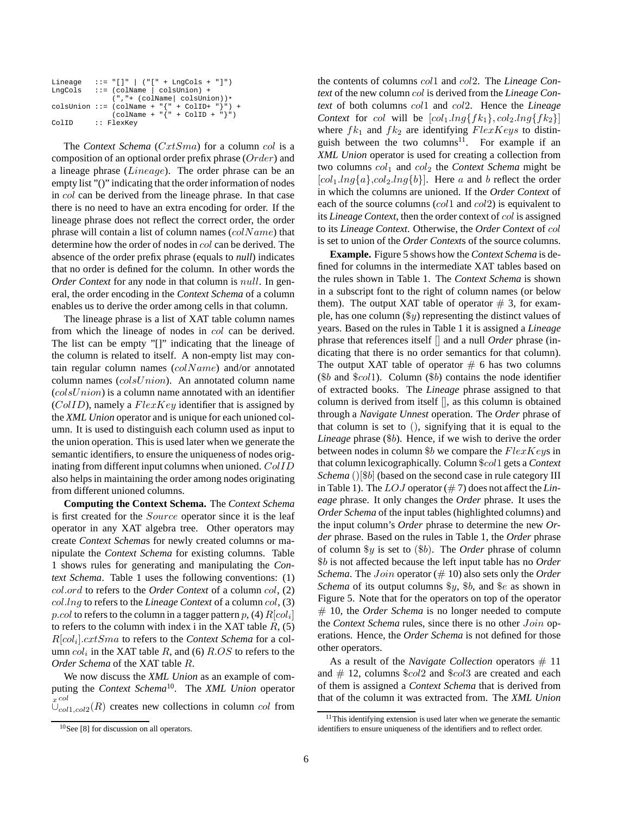| Lineage | $::= "[]"   ("[" + LngCols + "]")$                                                     |
|---------|----------------------------------------------------------------------------------------|
| LnqCols | $::=$ (colName   colsUnion) +                                                          |
|         | $(\cdot, \cdot + \text{(colName } \text{colsUnion)})$ *                                |
|         | colsUnion ::= $\left(\text{colName} + \sqrt{\pi} + \text{CollD} + \sqrt{\pi}\right) +$ |
|         | $(colName + "\n{ " + ColID + "\n{ " })$                                                |
| ColID   | :: FlexKev                                                                             |

The *Context Schema* (CxtSma) for a column col is a composition of an optional order prefix phrase (Order) and a lineage phrase (Lineage). The order phrase can be an empty list "()" indicating that the order information of nodes in col can be derived from the lineage phrase. In that case there is no need to have an extra encoding for order. If the lineage phrase does not reflect the correct order, the order phrase will contain a list of column names  $\left(\frac{colName}{\right)$  that determine how the order of nodes in col can be derived. The absence of the order prefix phrase (equals to *null*) indicates that no order is defined for the column. In other words the *Order Context* for any node in that column is null. In general, the order encoding in the *Context Schema* of a column enables us to derive the order among cells in that column.

The lineage phrase is a list of XAT table column names from which the lineage of nodes in col can be derived. The list can be empty "[]" indicating that the lineage of the column is related to itself. A non-empty list may contain regular column names  $(colName)$  and/or annotated column names  $(colsUnion)$ . An annotated column name  $(colsUnion)$  is a column name annotated with an identifier  $(ColID)$ , namely a  $FlexKey$  identifier that is assigned by the *XML Union* operator and is unique for each unioned column. It is used to distinguish each column used as input to the union operation. This is used later when we generate the semantic identifiers, to ensure the uniqueness of nodes originating from different input columns when unioned. ColID also helps in maintaining the order among nodes originating from different unioned columns.

**Computing the Context Schema.** The *Context Schema* is first created for the Source operator since it is the leaf operator in any XAT algebra tree. Other operators may create *Context Schema*s for newly created columns or manipulate the *Context Schema* for existing columns. Table 1 shows rules for generating and manipulating the *Context Schema*. Table 1 uses the following conventions: (1) col.ord to refers to the *Order Context* of a column col, (2) col.lng to refers to the *Lineage Context* of a column col, (3)  $p,col$  to refers to the column in a tagger pattern  $p,$  (4)  $R[col_i]$ to refers to the column with index i in the XAT table  $R$ , (5) R[col<sup>i</sup> ].cxtSma to refers to the *Context Schema* for a column  $col_i$  in the XAT table R, and (6)  $R.OS$  to refers to the *Order Schema* of the XAT table R.

We now discuss the *XML Union* as an example of computing the *Context Schema*10. The *XML Union* operator  $\mathcal{L}^{col}_{col}$  $_{col1,col2}(R)$  creates new collections in column col from

the contents of columns col1 and col2. The *Lineage Context* of the new column col is derived from the *Lineage Context* of both columns col1 and col2. Hence the *Lineage Context* for col will be  $[col_1.lang{f k_1}, col_2.lang{f k_2}]$ where  $fk_1$  and  $fk_2$  are identifying  $FlexKeys$  to distinguish between the two columns<sup>11</sup>. For example if an *XML Union* operator is used for creating a collection from two columns  $col_1$  and  $col_2$  the *Context Schema* might be  $[col_1.lng\{a\}, col_2.lng\{b\}]$ . Here a and b reflect the order in which the columns are unioned. If the *Order Context* of each of the source columns (col1 and col2) is equivalent to its *Lineage Context*, then the order context of col is assigned to its *Lineage Context*. Otherwise, the *Order Context* of col is set to union of the *Order Context*s of the source columns.

**Example.** Figure 5 shows how the *Context Schema* is defined for columns in the intermediate XAT tables based on the rules shown in Table 1. The *Context Schema* is shown in a subscript font to the right of column names (or below them). The output XAT table of operator  $# 3$ , for example, has one column (\$y) representing the distinct values of years. Based on the rules in Table 1 it is assigned a *Lineage* phrase that references itself [] and a null *Order* phrase (indicating that there is no order semantics for that column). The output XAT table of operator  $# 6$  has two columns ( $$b$$  and  $$col1$ ). Column ( $$b$$ ) contains the node identifier of extracted books. The *Lineage* phrase assigned to that column is derived from itself [], as this column is obtained through a *Navigate Unnest* operation. The *Order* phrase of that column is set to (), signifying that it is equal to the *Lineage* phrase (\$b). Hence, if we wish to derive the order between nodes in column  $$b$  we compare the  $FlexKeys$  in that column lexicographically. Column \$col1 gets a *Context Schema* ()[\$b] (based on the second case in rule category III in Table 1). The LOJ operator (# 7) does not affect the *Lineage* phrase. It only changes the *Order* phrase. It uses the *Order Schema* of the input tables (highlighted columns) and the input column's *Order* phrase to determine the new *Order* phrase. Based on the rules in Table 1, the *Order* phrase of column \$y is set to (\$b). The *Order* phrase of column \$b is not affected because the left input table has no *Order Schema*. The Join operator (# 10) also sets only the *Order Schema* of its output columns  $y$ ,  $b$ , and  $\ell$ e as shown in Figure 5. Note that for the operators on top of the operator # 10, the *Order Schema* is no longer needed to compute the *Context Schema* rules, since there is no other Join operations. Hence, the *Order Schema* is not defined for those other operators.

As a result of the *Navigate Collection* operators # 11 and  $# 12$ , columns  $$col2$  and  $$col3$  are created and each of them is assigned a *Context Schema* that is derived from that of the column it was extracted from. The *XML Union*

<sup>10</sup>See [8] for discussion on all operators.

 $11$ This identifying extension is used later when we generate the semantic identifiers to ensure uniqueness of the identifiers and to reflect order.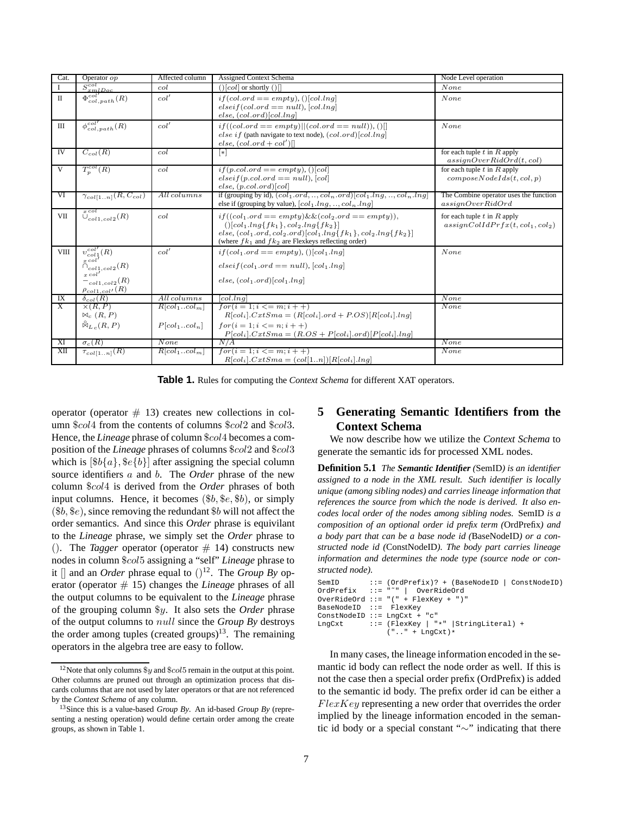| Cat.         | Operator op                                                                                                                     | Affected column                    | <b>Assigned Context Schema</b>                                                                                                                                                                                                      | Node Level operation                                                      |
|--------------|---------------------------------------------------------------------------------------------------------------------------------|------------------------------------|-------------------------------------------------------------------------------------------------------------------------------------------------------------------------------------------------------------------------------------|---------------------------------------------------------------------------|
|              | $S_{xmlDoc}^{col}$                                                                                                              | col                                | $( col $ or shortly $( [] )$                                                                                                                                                                                                        | None                                                                      |
| $\mathbf{H}$ | $\Phi_{col, path}^{col'}(R)$                                                                                                    | col'                               | $if(col.ord == empty), () [col.lnq]$<br>$elseif(col.ord == null), [col.lng]$<br>else, (col. ord) [col. Ing]                                                                                                                         | None                                                                      |
| Ш            | $\phi_{col, path}^{col'}(R)$                                                                                                    | col'                               | $if((col. ord == empty)  (col. ord == null)), ()$<br>else if (path navigate to text node), $(col.ord)[col.lng]$<br>$else, (col. ord + col')$                                                                                        | None                                                                      |
| IV           | $C_{col}(R)$                                                                                                                    | col                                | $[\ast]$                                                                                                                                                                                                                            | for each tuple $t$ in $R$ apply<br>assignmentOverRidOrd(t, col)           |
| V            | $T_p^{col}(R)$                                                                                                                  | col                                | $if(p.col.ord == empty), ()[col]$<br>$else if (p,col. ord == null), [col]$<br>else, (p. col. ord)[col]                                                                                                                              | for each tuple $t$ in $R$ apply<br>composeNodeIds(t, col, p)              |
| VI           | $\gamma_{col[1n]}(R,C_{col})$                                                                                                   | All columns                        | if (grouping by id), $(col_1.ord, \ldots col_n.ord)[col_1.lnq, \ldots col_n.lnq]$<br>else if (grouping by value), $[col_1, lng, , col_n, lng]$                                                                                      | The Combine operator uses the function<br>assignOverRidOrd                |
| VII          | $x$ col<br>$\cup_{col1,col2}(R)$                                                                                                | col                                | $if((col_1.ord == empty) \&\& (col_2.ord == empty)),$<br>$( col_1.lng{f_k}_1 , col_2.lng{f_k}_2 ]$<br>else, $(col_1.ord, col_2.ord)[col_1.log{f_k_1}, col_2.log{f_k_2}]$<br>(where $fk_1$ and $fk_2$ are Flexkeys reflecting order) | for each tuple $t$ in $R$ apply<br>$assignmentColldPrfx(t, col_1, col_2)$ |
| <b>VIII</b>  | $v_{coll}^{col'}(R)$<br>x col'<br>$\bigcap_{col1,col2}(R)$<br>x col'<br>$-$ <sub>col1,col2</sub> $(R)$<br>$\rho_{coll,col'}(R)$ | col'                               | $if(col_1.ord == empty), ()[col_1.lnq]$<br>$elseif(col1.ord == null), [col1.lng]$<br>$else, (col_1.ord)[col_1.lnq]$                                                                                                                 | None                                                                      |
| IX           | $\delta_{col}(R)$                                                                                                               | All columns                        | $\overline{col.lng}$                                                                                                                                                                                                                | None                                                                      |
| X            | $\times (R, P)$<br>$\bowtie_c (R, P)$<br>$\mathring{\boxtimes}_{Lc}(R, P)$                                                      | $R[col_1col_m]$<br>$P[col_1col_n]$ | $for (i = 1; i < = m; i++)$<br>$R[col_i].CxtSma = (R[col_i].ord + P.OS)[R[col_i].lnq]$<br>$for (i = 1; i <= n; i++)$                                                                                                                | None                                                                      |
|              |                                                                                                                                 |                                    | $P[col_i].CxtSma = (R.OS + P[col_i].ord)[P[col_i].lng]$                                                                                                                                                                             |                                                                           |
| XI           | $\sigma_c(R)$                                                                                                                   | None                               | N/A                                                                                                                                                                                                                                 | None                                                                      |
| XII          | $\tau_{col[1n]}(R)$                                                                                                             | $R[col_1col_m]$                    | $for (i = 1; i < = m; i + 1)$<br>$R[col_i]$ . $CxtSma = (col[1n])[R[col_i].lnq]$                                                                                                                                                    | None                                                                      |

**Table 1.** Rules for computing the *Context Schema* for different XAT operators.

operator (operator  $# 13$ ) creates new collections in column \$col4 from the contents of columns \$col2 and \$col3. Hence, the *Lineage* phrase of column \$col4 becomes a composition of the *Lineage* phrases of columns \$col2 and \$col3 which is  $[\$b\{a\}, \$e\{b\}]$  after assigning the special column source identifiers a and b. The *Order* phrase of the new column \$col4 is derived from the *Order* phrases of both input columns. Hence, it becomes  $(\$b, \$e, \$b)$ , or simply  $(\$b, \$e)$ , since removing the redundant  $\$b$  will not affect the order semantics. And since this *Order* phrase is equivilant to the *Lineage* phrase, we simply set the *Order* phrase to (). The *Tagger* operator (operator  $\#$  14) constructs new nodes in column \$col5 assigning a "self" *Lineage* phrase to it  $\Box$  and an *Order* phrase equal to  $\Box$ <sup>12</sup>. The *Group By* operator (operator  $# 15$ ) changes the *Lineage* phrases of all the output columns to be equivalent to the *Lineage* phrase of the grouping column \$y. It also sets the *Order* phrase of the output columns to null since the *Group By* destroys the order among tuples (created groups) $13$ . The remaining operators in the algebra tree are easy to follow.

## **5 Generating Semantic Identifiers from the Context Schema**

We now describe how we utilize the *Context Schema* to generate the semantic ids for processed XML nodes.

**Definition 5.1** *The Semantic Identifier (*SemID*) is an identifier assigned to a node in the XML result. Such identifier is locally unique (among sibling nodes) and carries lineage information that references the source from which the node is derived. It also encodes local order of the nodes among sibling nodes.* SemID *is a composition of an optional order id prefix term (*OrdPrefix*) and a body part that can be a base node id (*BaseNodeID*) or a constructed node id (*ConstNodeID*). The body part carries lineage information and determines the node type (source node or constructed node).*

```
SemID ::= (OrdPrefix)? + (BaseNodeID | ConstNodeID)
OrdPrefix ::= "˜" | OverRideOrd
OverRideOrd ::= "(" + FlexKey + ")"
BaseNodeID ::= FlexKey
ConstNodeID ::= LngCxt + "c"
LngCxt ::= (FlexKey | "*" |StringLiteral) +
               ("..." + <i>LongCxt</i>)*
```
In many cases, the lineage information encoded in the semantic id body can reflect the node order as well. If this is not the case then a special order prefix (OrdPrefix) is added to the semantic id body. The prefix order id can be either a  $FlexKey$  representing a new order that overrides the order implied by the lineage information encoded in the semantic id body or a special constant "∼" indicating that there

<sup>&</sup>lt;sup>12</sup>Note that only columns  $y$  and  $c$ *ol*<sup>5</sup> remain in the output at this point. Other columns are pruned out through an optimization process that discards columns that are not used by later operators or that are not referenced by the *Context Schema* of any column.

<sup>13</sup>Since this is a value-based *Group By*. An id-based *Group By* (representing a nesting operation) would define certain order among the create groups, as shown in Table 1.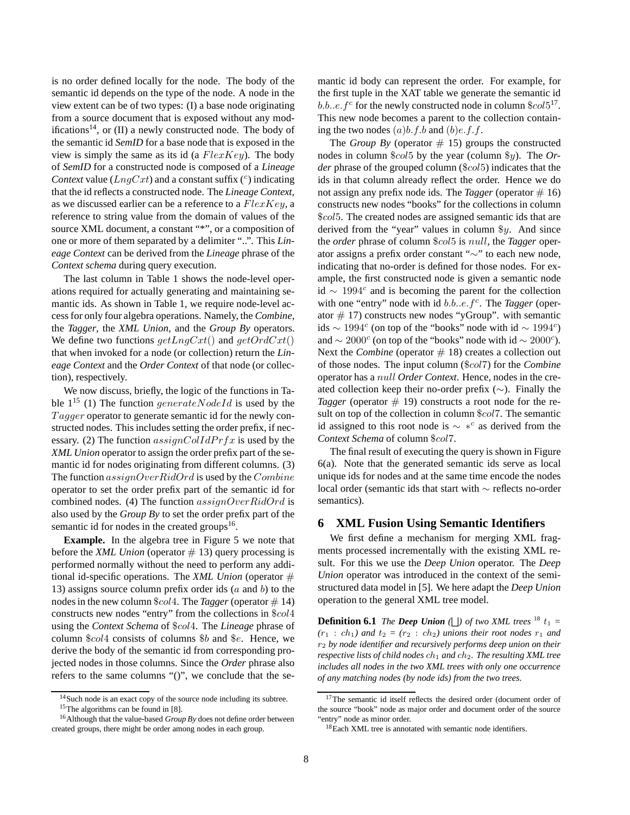is no order defined locally for the node. The body of the semantic id depends on the type of the node. A node in the view extent can be of two types: (I) a base node originating from a source document that is exposed without any modifications<sup>14</sup>, or  $(II)$  a newly constructed node. The body of the semantic id *SemID* for a base node that is exposed in the view is simply the same as its id (a  $FlexKey$ ). The body of *SemID* for a constructed node is composed of a *Lineage Context* value ( $LngCxt$ ) and a constant suffix  $(^c)$  indicating that the id reflects a constructed node. The *Lineage Context*, as we discussed earlier can be a reference to a  $FlexKey$ , a reference to string value from the domain of values of the source XML document, a constant "\*", or a composition of one or more of them separated by a delimiter "..". This *Lineage Context* can be derived from the *Lineage* phrase of the *Context schema* during query execution.

The last column in Table 1 shows the node-level operations required for actually generating and maintaining semantic ids. As shown in Table 1, we require node-level access for only four algebra operations. Namely, the *Combine*, the *Tagger*, the *XML Union*, and the *Group By* operators. We define two functions  $getLngCxt()$  and  $getOrdCxt()$ that when invoked for a node (or collection) return the *Lineage Context* and the *Order Context* of that node (or collection), respectively.

We now discuss, briefly, the logic of the functions in Table  $1^{15}$  (1) The function *generateNodeId* is used by the  $Tagger$  operator to generate semantic id for the newly constructed nodes. This includes setting the order prefix, if necessary. (2) The function  $assignColldPrfx$  is used by the *XML Union* operator to assign the order prefix part of the semantic id for nodes originating from different columns. (3) The function  $assignOverRidOrd$  is used by the  $Combine$ operator to set the order prefix part of the semantic id for combined nodes. (4) The function  $assignOverRidOrd$  is also used by the *Group By* to set the order prefix part of the semantic id for nodes in the created groups<sup>16</sup>.

**Example.** In the algebra tree in Figure 5 we note that before the *XML Union* (operator  $\#$  13) query processing is performed normally without the need to perform any additional id-specific operations. The *XML Union* (operator  $#$ 13) assigns source column prefix order ids  $(a \text{ and } b)$  to the nodes in the new column  $\frac{2\pi}{14}$ . The *Tagger* (operator  $\#$  14) constructs new nodes "entry" from the collections in \$col4 using the *Context Schema* of \$col4. The *Lineage* phrase of column \$col4 consists of columns \$b and \$e. Hence, we derive the body of the semantic id from corresponding projected nodes in those columns. Since the *Order* phrase also refers to the same columns "()", we conclude that the semantic id body can represent the order. For example, for the first tuple in the XAT table we generate the semantic id b.b..e.  $f^c$  for the newly constructed node in column  $\$col5^{17}$ . This new node becomes a parent to the collection containing the two nodes  $(a)b.f.b$  and  $(b)e.f.f.$ 

The *Group By* (operator  $# 15$ ) groups the constructed nodes in column \$col5 by the year (column \$y). The *Order* phrase of the grouped column (\$*col*5) indicates that the ids in that column already reflect the order. Hence we do not assign any prefix node ids. The *Tagger* (operator  $\#$  16) constructs new nodes "books" for the collections in column \$col5. The created nodes are assigned semantic ids that are derived from the "year" values in column \$y. And since the *order* phrase of column \$col5 is null, the *Tagger* operator assigns a prefix order constant "∼" to each new node, indicating that no-order is defined for those nodes. For example, the first constructed node is given a semantic node id  $\sim 1994^c$  and is becoming the parent for the collection with one "entry" node with id b.b..e.  $f^c$ . The *Tagger* (operator  $# 17$ ) constructs new nodes "yGroup". with semantic ids  $\sim 1994^c$  (on top of the "books" node with id  $\sim 1994^c$ ) and  $\sim 2000^{\circ}$  (on top of the "books" node with id  $\sim 2000^{\circ}$ ). Next the *Combine* (operator # 18) creates a collection out of those nodes. The input column (\$col7) for the *Combine* operator has a null *Order Context*. Hence, nodes in the created collection keep their no-order prefix (∼). Finally the *Tagger* (operator  $# 19$ ) constructs a root node for the result on top of the collection in column \$*col7*. The semantic id assigned to this root node is  $\sim$   $*^c$  as derived from the *Context Schema* of column \$col7.

The final result of executing the query is shown in Figure 6(a). Note that the generated semantic ids serve as local unique ids for nodes and at the same time encode the nodes local order (semantic ids that start with ∼ reflects no-order semantics).

### **6 XML Fusion Using Semantic Identifiers**

We first define a mechanism for merging XML fragments processed incrementally with the existing XML result. For this we use the *Deep Union* operator. The *Deep Union* operator was introduced in the context of the semistructured data model in [5]. We here adapt the *Deep Union* operation to the general XML tree model.

**Definition 6.1** *The Deep Union* ( $\Box$ ) *of two XML trees* <sup>18</sup>  $t_1$  =  $(r_1 : ch_1)$  and  $t_2 = (r_2 : ch_2)$  unions their root nodes  $r_1$  and r<sup>2</sup> *by node identifier and recursively performs deep union on their respective lists of child nodes*  $ch_1$  *and*  $ch_2$ *. The resulting XML tree includes all nodes in the two XML trees with only one occurrence of any matching nodes (by node ids) from the two trees.*

<sup>14</sup>Such node is an exact copy of the source node including its subtree.  $15$ The algorithms can be found in [8].

<sup>16</sup>Although that the value-based *Group By* does not define order between created groups, there might be order among nodes in each group.

<sup>&</sup>lt;sup>17</sup>The semantic id itself reflects the desired order (document order of the source "book" node as major order and document order of the source "entry" node as minor order.

<sup>&</sup>lt;sup>18</sup>Each XML tree is annotated with semantic node identifiers.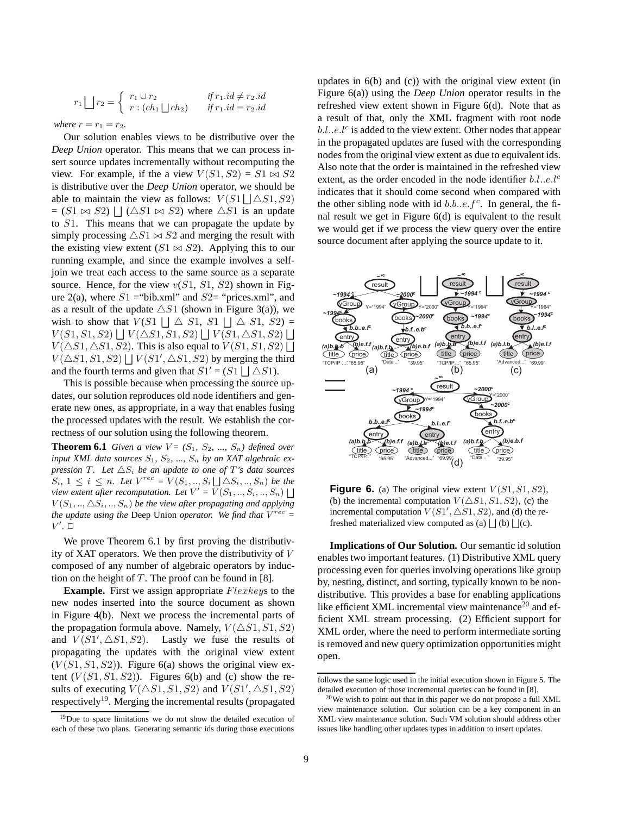$$
r_1 \bigsqcup r_2 = \begin{cases} r_1 \cup r_2 & \text{if } r_1 \ldotp id \neq r_2 \ldotp id \\ r \vdots (ch_1 \bigsqcup ch_2) & \text{if } r_1 \ldotp id = r_2 \ldotp id \end{cases}
$$

*where*  $r = r_1 = r_2$ *.* 

Our solution enables views to be distributive over the *Deep Union* operator. This means that we can process insert source updates incrementally without recomputing the view. For example, if the a view  $V(S1, S2) = S1 \bowtie S2$ is distributive over the *Deep Union* operator, we should be able to maintain the view as follows:  $V(S1 \sqcup \Delta S1, S2)$  $= (S1 \bowtie S2) \sqcup (\triangle S1 \bowtie S2)$  where  $\triangle S1$  is an update to S1. This means that we can propagate the update by simply processing  $\triangle S1 \bowtie S2$  and merging the result with the existing view extent ( $S1 \bowtie S2$ ). Applying this to our running example, and since the example involves a selfjoin we treat each access to the same source as a separate source. Hence, for the view  $v(S1, S1, S2)$  shown in Figure 2(a), where  $S1 =$ "bib.xml" and  $S2=$  "prices.xml", and as a result of the update  $\triangle S1$  (shown in Figure 3(a)), we wish to show that  $V(S1 \cup \triangle S1, S1 \cup \triangle S1, S2)$  =  $V(S1, S1, S2) \bigsqcup V(\Delta S1, S1, S2) \bigsqcup V(S1, \Delta S1, S2) \bigsqcup$  $V(\triangle S1, \triangle S1, S2)$ . This is also equal to  $V(S1, S1, S2)$  | |  $V(\triangle S1, S1, S2) \bigsqcup V(S1', \triangle S1, S2)$  by merging the third and the fourth terms and given that  $S1' = (S1 \cup \Delta S1)$ .

This is possible because when processing the source updates, our solution reproduces old node identifiers and generate new ones, as appropriate, in a way that enables fusing the processed updates with the result. We establish the correctness of our solution using the following theorem.

**Theorem 6.1** *Given a view*  $V = (S_1, S_2, ..., S_n)$  *defined over input XML data sources*  $S_1$ ,  $S_2$ , ...,  $S_n$  *by an XAT algebraic expression*  $T$ *. Let*  $\Delta S_i$  *be an update to one of*  $T$ *'s data sources*  $S_i, 1 \leq i \leq n$ . Let  $V^{rec} = V(S_1, ..., S_i \sqcup \Delta S_i, ..., S_n)$  be the *view extent after recomputation.* Let  $V' = V(S_1, ..., S_i, ..., S_n) \bigsqcup$  $V(S_1, \ldots, \Delta S_i, \ldots, S_n)$  *be the view after propagating and applying the update using the* Deep Union *operator. We find that* V rec *=*  $V'.\ \dot{\square}$ 

We prove Theorem 6.1 by first proving the distributivity of XAT operators. We then prove the distributivity of V composed of any number of algebraic operators by induction on the height of  $T$ . The proof can be found in [8].

**Example.** First we assign appropriate Flexkeys to the new nodes inserted into the source document as shown in Figure 4(b). Next we process the incremental parts of the propagation formula above. Namely,  $V(\triangle S1, S1, S2)$ and  $V(S1', \triangle S1, S2)$ . Lastly we fuse the results of propagating the updates with the original view extent  $(V(S1, S1, S2))$ . Figure 6(a) shows the original view extent  $(V(S1, S1, S2))$ . Figures 6(b) and (c) show the results of executing  $V(\triangle S1, S1, S2)$  and  $V(S1', \triangle S1, S2)$ respectively19. Merging the incremental results (propagated

updates in 6(b) and (c)) with the original view extent (in Figure 6(a)) using the *Deep Union* operator results in the refreshed view extent shown in Figure 6(d). Note that as a result of that, only the XML fragment with root node  $b.l..e.l<sup>c</sup>$  is added to the view extent. Other nodes that appear in the propagated updates are fused with the corresponding nodes from the original view extent as due to equivalent ids. Also note that the order is maintained in the refreshed view extent, as the order encoded in the node identifier  $b.l..e.l^c$ indicates that it should come second when compared with the other sibling node with id  $b.b..e.fc$ . In general, the final result we get in Figure 6(d) is equivalent to the result we would get if we process the view query over the entire source document after applying the source update to it.



**Figure 6.** (a) The original view extent  $V(S1, S1, S2)$ , (b) the incremental computation  $V(\triangle S1, S1, S2)$ , (c) the incremental computation  $V(S1', \triangle S1, S2)$ , and (d) the refreshed materialized view computed as (a)  $\bigcup$  (b)  $\bigcup$  (c).

**Implications of Our Solution.** Our semantic id solution enables two important features. (1) Distributive XML query processing even for queries involving operations like group by, nesting, distinct, and sorting, typically known to be nondistributive. This provides a base for enabling applications like efficient XML incremental view maintenance<sup>20</sup> and efficient XML stream processing. (2) Efficient support for XML order, where the need to perform intermediate sorting is removed and new query optimization opportunities might open.

<sup>&</sup>lt;sup>19</sup>Due to space limitations we do not show the detailed execution of each of these two plans. Generating semantic ids during those executions

follows the same logic used in the initial execution shown in Figure 5. The detailed execution of those incremental queries can be found in [8].

 $^{20}\rm{We}$  wish to point out that in this paper we do not propose a full XML view maintenance solution. Our solution can be a key component in an XML view maintenance solution. Such VM solution should address other issues like handling other updates types in addition to insert updates.